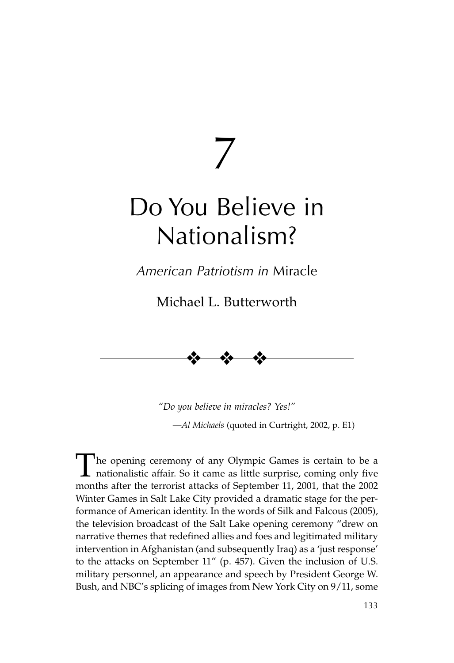7

# Do You Believe in Nationalism?

*American Patriotism in* Miracle

Michael L. Butterworth



*"Do you believe in miracles? Yes!"* —*Al Michaels* (quoted in Curtright, 2002, p. E1)

The opening ceremony of any Olympic Games is certain to be a<br>nationalistic affair. So it came as little surprise, coming only five<br>months efter the termini attacks of Sontember 11, 2001, that the 2002 months after the terrorist attacks of September 11, 2001, that the 2002 Winter Games in Salt Lake City provided a dramatic stage for the performance of American identity. In the words of Silk and Falcous (2005), the television broadcast of the Salt Lake opening ceremony "drew on narrative themes that redefined allies and foes and legitimated military intervention in Afghanistan (and subsequently Iraq) as a 'just response' to the attacks on September 11" (p. 457). Given the inclusion of U.S. military personnel, an appearance and speech by President George W. Bush, and NBC's splicing of images from New York City on 9/11, some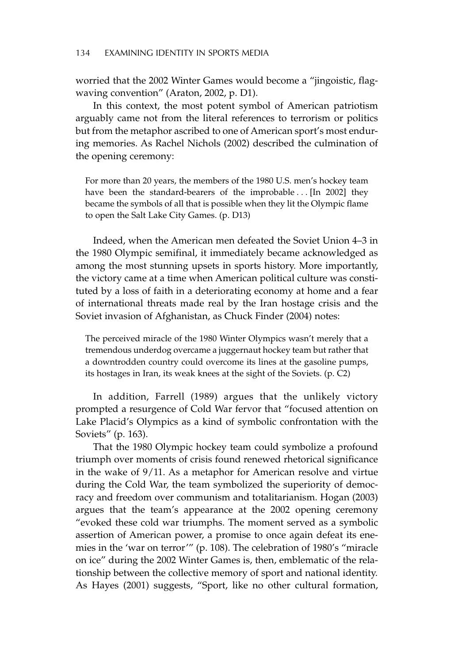worried that the 2002 Winter Games would become a "jingoistic, flagwaving convention" (Araton, 2002, p. D1).

In this context, the most potent symbol of American patriotism arguably came not from the literal references to terrorism or politics but from the metaphor ascribed to one of American sport's most enduring memories. As Rachel Nichols (2002) described the culmination of the opening ceremony:

For more than 20 years, the members of the 1980 U.S. men's hockey team have been the standard-bearers of the improbable ... [In 2002] they became the symbols of all that is possible when they lit the Olympic flame to open the Salt Lake City Games. (p. D13)

Indeed, when the American men defeated the Soviet Union 4–3 in the 1980 Olympic semifinal, it immediately became acknowledged as among the most stunning upsets in sports history. More importantly, the victory came at a time when American political culture was constituted by a loss of faith in a deteriorating economy at home and a fear of international threats made real by the Iran hostage crisis and the Soviet invasion of Afghanistan, as Chuck Finder (2004) notes:

The perceived miracle of the 1980 Winter Olympics wasn't merely that a tremendous underdog overcame a juggernaut hockey team but rather that a downtrodden country could overcome its lines at the gasoline pumps, its hostages in Iran, its weak knees at the sight of the Soviets. (p. C2)

In addition, Farrell (1989) argues that the unlikely victory prompted a resurgence of Cold War fervor that "focused attention on Lake Placid's Olympics as a kind of symbolic confrontation with the Soviets" (p. 163).

That the 1980 Olympic hockey team could symbolize a profound triumph over moments of crisis found renewed rhetorical significance in the wake of 9/11. As a metaphor for American resolve and virtue during the Cold War, the team symbolized the superiority of democracy and freedom over communism and totalitarianism. Hogan (2003) argues that the team's appearance at the 2002 opening ceremony "evoked these cold war triumphs. The moment served as a symbolic assertion of American power, a promise to once again defeat its enemies in the 'war on terror'" (p. 108). The celebration of 1980's "miracle on ice" during the 2002 Winter Games is, then, emblematic of the relationship between the collective memory of sport and national identity. As Hayes (2001) suggests, "Sport, like no other cultural formation,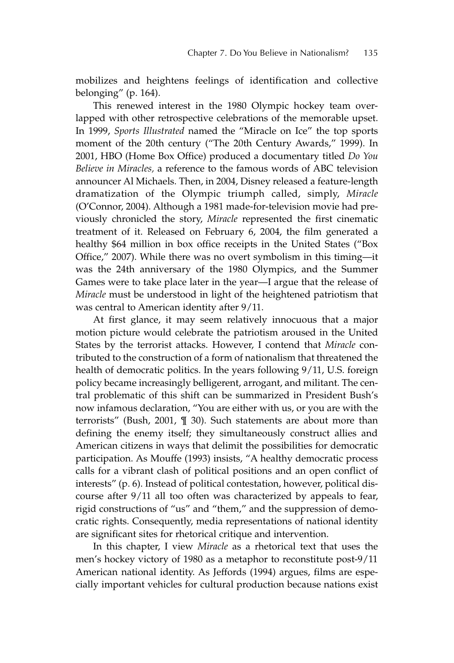mobilizes and heightens feelings of identification and collective belonging" (p. 164).

This renewed interest in the 1980 Olympic hockey team overlapped with other retrospective celebrations of the memorable upset. In 1999, *Sports Illustrated* named the "Miracle on Ice" the top sports moment of the 20th century ("The 20th Century Awards," 1999). In 2001, HBO (Home Box Office) produced a documentary titled *Do You Believe in Miracles,* a reference to the famous words of ABC television announcer Al Michaels. Then, in 2004, Disney released a feature-length dramatization of the Olympic triumph called, simply, *Miracle* (O'Connor, 2004). Although a 1981 made-for-television movie had previously chronicled the story, *Miracle* represented the first cinematic treatment of it. Released on February 6, 2004, the film generated a healthy \$64 million in box office receipts in the United States ("Box Office," 2007). While there was no overt symbolism in this timing—it was the 24th anniversary of the 1980 Olympics, and the Summer Games were to take place later in the year—I argue that the release of *Miracle* must be understood in light of the heightened patriotism that was central to American identity after 9/11.

At first glance, it may seem relatively innocuous that a major motion picture would celebrate the patriotism aroused in the United States by the terrorist attacks. However, I contend that *Miracle* contributed to the construction of a form of nationalism that threatened the health of democratic politics. In the years following 9/11, U.S. foreign policy became increasingly belligerent, arrogant, and militant. The central problematic of this shift can be summarized in President Bush's now infamous declaration, "You are either with us, or you are with the terrorists" (Bush, 2001, ¶ 30). Such statements are about more than defining the enemy itself; they simultaneously construct allies and American citizens in ways that delimit the possibilities for democratic participation. As Mouffe (1993) insists, "A healthy democratic process calls for a vibrant clash of political positions and an open conflict of interests" (p. 6). Instead of political contestation, however, political discourse after 9/11 all too often was characterized by appeals to fear, rigid constructions of "us" and "them," and the suppression of democratic rights. Consequently, media representations of national identity are significant sites for rhetorical critique and intervention.

In this chapter, I view *Miracle* as a rhetorical text that uses the men's hockey victory of 1980 as a metaphor to reconstitute post-9/11 American national identity. As Jeffords (1994) argues, films are especially important vehicles for cultural production because nations exist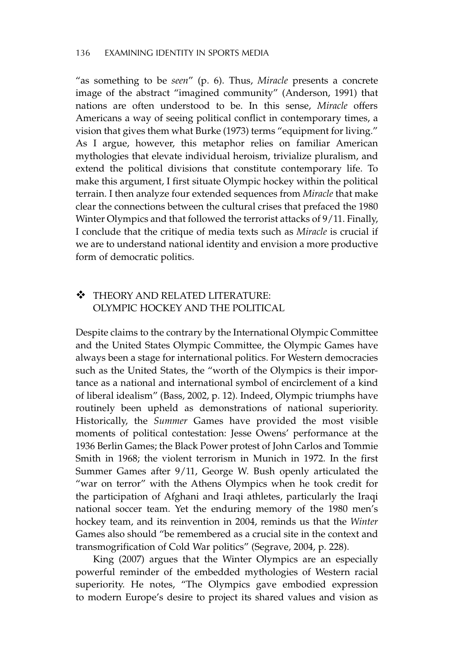#### 136 EXAMINING IDENTITY IN SPORTS MEDIA

"as something to be *seen*" (p. 6). Thus, *Miracle* presents a concrete image of the abstract "imagined community" (Anderson, 1991) that nations are often understood to be. In this sense, *Miracle* offers Americans a way of seeing political conflict in contemporary times, a vision that gives them what Burke (1973) terms "equipment for living." As I argue, however, this metaphor relies on familiar American mythologies that elevate individual heroism, trivialize pluralism, and extend the political divisions that constitute contemporary life. To make this argument, I first situate Olympic hockey within the political terrain. I then analyze four extended sequences from *Miracle* that make clear the connections between the cultural crises that prefaced the 1980 Winter Olympics and that followed the terrorist attacks of 9/11. Finally, I conclude that the critique of media texts such as *Miracle* is crucial if we are to understand national identity and envision a more productive form of democratic politics.

## **\*** THEORY AND RELATED LITERATURE: OLYMPIC HOCKEY AND THE POLITICAL

Despite claims to the contrary by the International Olympic Committee and the United States Olympic Committee, the Olympic Games have always been a stage for international politics. For Western democracies such as the United States, the "worth of the Olympics is their importance as a national and international symbol of encirclement of a kind of liberal idealism" (Bass, 2002, p. 12). Indeed, Olympic triumphs have routinely been upheld as demonstrations of national superiority. Historically, the *Summer* Games have provided the most visible moments of political contestation: Jesse Owens' performance at the 1936 Berlin Games; the Black Power protest of John Carlos and Tommie Smith in 1968; the violent terrorism in Munich in 1972. In the first Summer Games after 9/11, George W. Bush openly articulated the "war on terror" with the Athens Olympics when he took credit for the participation of Afghani and Iraqi athletes, particularly the Iraqi national soccer team. Yet the enduring memory of the 1980 men's hockey team, and its reinvention in 2004, reminds us that the *Winter* Games also should "be remembered as a crucial site in the context and transmogrification of Cold War politics" (Segrave, 2004, p. 228).

King (2007) argues that the Winter Olympics are an especially powerful reminder of the embedded mythologies of Western racial superiority. He notes, "The Olympics gave embodied expression to modern Europe's desire to project its shared values and vision as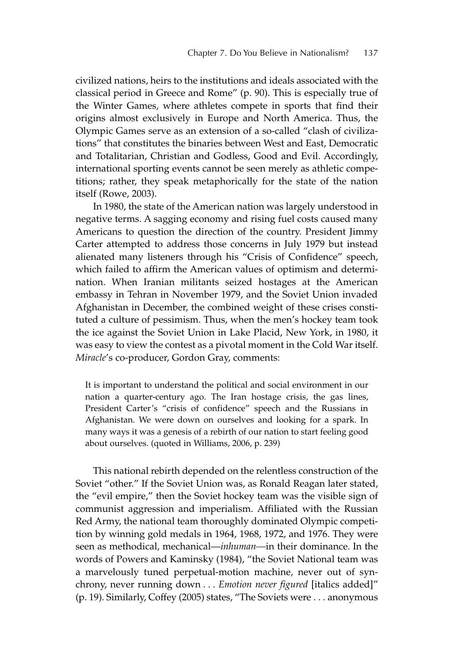civilized nations, heirs to the institutions and ideals associated with the classical period in Greece and Rome" (p. 90). This is especially true of the Winter Games, where athletes compete in sports that find their origins almost exclusively in Europe and North America. Thus, the Olympic Games serve as an extension of a so-called "clash of civilizations" that constitutes the binaries between West and East, Democratic and Totalitarian, Christian and Godless, Good and Evil. Accordingly, international sporting events cannot be seen merely as athletic competitions; rather, they speak metaphorically for the state of the nation itself (Rowe, 2003).

In 1980, the state of the American nation was largely understood in negative terms. A sagging economy and rising fuel costs caused many Americans to question the direction of the country. President Jimmy Carter attempted to address those concerns in July 1979 but instead alienated many listeners through his "Crisis of Confidence" speech, which failed to affirm the American values of optimism and determination. When Iranian militants seized hostages at the American embassy in Tehran in November 1979, and the Soviet Union invaded Afghanistan in December, the combined weight of these crises constituted a culture of pessimism. Thus, when the men's hockey team took the ice against the Soviet Union in Lake Placid, New York, in 1980, it was easy to view the contest as a pivotal moment in the Cold War itself. *Miracle*'s co-producer, Gordon Gray, comments:

It is important to understand the political and social environment in our nation a quarter-century ago. The Iran hostage crisis, the gas lines, President Carter's "crisis of confidence" speech and the Russians in Afghanistan. We were down on ourselves and looking for a spark. In many ways it was a genesis of a rebirth of our nation to start feeling good about ourselves. (quoted in Williams, 2006, p. 239)

This national rebirth depended on the relentless construction of the Soviet "other." If the Soviet Union was, as Ronald Reagan later stated, the "evil empire," then the Soviet hockey team was the visible sign of communist aggression and imperialism. Affiliated with the Russian Red Army, the national team thoroughly dominated Olympic competition by winning gold medals in 1964, 1968, 1972, and 1976. They were seen as methodical, mechanical—*inhuman—*in their dominance. In the words of Powers and Kaminsky (1984), "the Soviet National team was a marvelously tuned perpetual-motion machine, never out of synchrony, never running down . . . *Emotion never figured* [italics added]" (p. 19). Similarly, Coffey (2005) states, "The Soviets were ... anonymous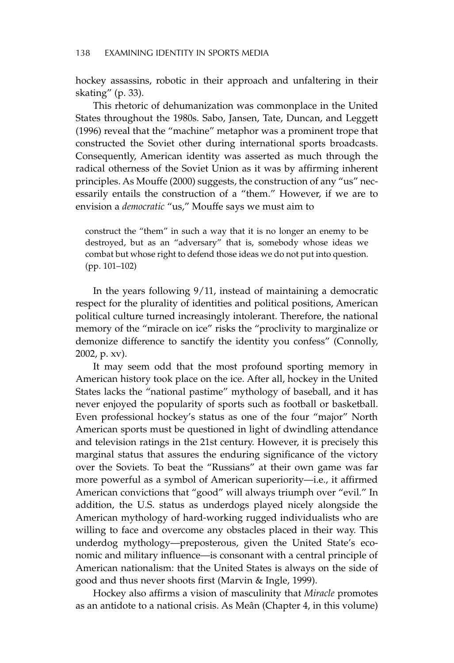hockey assassins, robotic in their approach and unfaltering in their skating" (p. 33).

This rhetoric of dehumanization was commonplace in the United States throughout the 1980s. Sabo, Jansen, Tate, Duncan, and Leggett (1996) reveal that the "machine" metaphor was a prominent trope that constructed the Soviet other during international sports broadcasts. Consequently, American identity was asserted as much through the radical otherness of the Soviet Union as it was by affirming inherent principles. As Mouffe (2000) suggests, the construction of any "us" necessarily entails the construction of a "them." However, if we are to envision a *democratic* "us," Mouffe says we must aim to

construct the "them" in such a way that it is no longer an enemy to be destroyed, but as an "adversary" that is, somebody whose ideas we combat but whose right to defend those ideas we do not put into question. (pp. 101–102)

In the years following 9/11, instead of maintaining a democratic respect for the plurality of identities and political positions, American political culture turned increasingly intolerant. Therefore, the national memory of the "miracle on ice" risks the "proclivity to marginalize or demonize difference to sanctify the identity you confess" (Connolly, 2002, p. xv).

It may seem odd that the most profound sporting memory in American history took place on the ice. After all, hockey in the United States lacks the "national pastime" mythology of baseball, and it has never enjoyed the popularity of sports such as football or basketball. Even professional hockey's status as one of the four "major" North American sports must be questioned in light of dwindling attendance and television ratings in the 21st century. However, it is precisely this marginal status that assures the enduring significance of the victory over the Soviets. To beat the "Russians" at their own game was far more powerful as a symbol of American superiority—i.e., it affirmed American convictions that "good" will always triumph over "evil." In addition, the U.S. status as underdogs played nicely alongside the American mythology of hard-working rugged individualists who are willing to face and overcome any obstacles placed in their way. This underdog mythology—preposterous, given the United State's economic and military influence—is consonant with a central principle of American nationalism: that the United States is always on the side of good and thus never shoots first (Marvin & Ingle, 1999).

Hockey also affirms a vision of masculinity that *Miracle* promotes as an antidote to a national crisis. As Meân (Chapter 4, in this volume)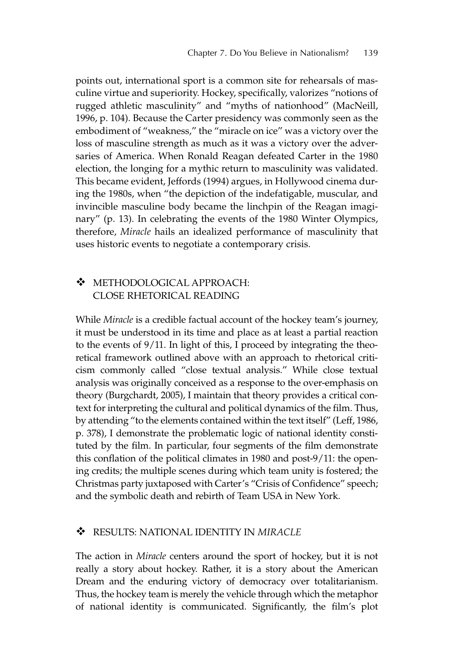points out, international sport is a common site for rehearsals of masculine virtue and superiority. Hockey, specifically, valorizes "notions of rugged athletic masculinity" and "myths of nationhood" (MacNeill, 1996, p. 104). Because the Carter presidency was commonly seen as the embodiment of "weakness," the "miracle on ice" was a victory over the loss of masculine strength as much as it was a victory over the adversaries of America. When Ronald Reagan defeated Carter in the 1980 election, the longing for a mythic return to masculinity was validated. This became evident, Jeffords (1994) argues, in Hollywood cinema during the 1980s, when "the depiction of the indefatigable, muscular, and invincible masculine body became the linchpin of the Reagan imaginary" (p. 13). In celebrating the events of the 1980 Winter Olympics, therefore, *Miracle* hails an idealized performance of masculinity that uses historic events to negotiate a contemporary crisis.

# - METHODOLOGICAL APPROACH: CLOSE RHETORICAL READING

While *Miracle* is a credible factual account of the hockey team's journey, it must be understood in its time and place as at least a partial reaction to the events of 9/11. In light of this, I proceed by integrating the theoretical framework outlined above with an approach to rhetorical criticism commonly called "close textual analysis." While close textual analysis was originally conceived as a response to the over-emphasis on theory (Burgchardt, 2005), I maintain that theory provides a critical context for interpreting the cultural and political dynamics of the film. Thus, by attending "to the elements contained within the text itself" (Leff, 1986, p. 378), I demonstrate the problematic logic of national identity constituted by the film. In particular, four segments of the film demonstrate this conflation of the political climates in 1980 and post-9/11: the opening credits; the multiple scenes during which team unity is fostered; the Christmas party juxtaposed with Carter's "Crisis of Confidence" speech; and the symbolic death and rebirth of Team USA in New York.

#### $\cdot$ RESULTS: NATIONAL IDENTITY IN *MIRACLE*

The action in *Miracle* centers around the sport of hockey, but it is not really a story about hockey. Rather, it is a story about the American Dream and the enduring victory of democracy over totalitarianism. Thus, the hockey team is merely the vehicle through which the metaphor of national identity is communicated. Significantly, the film's plot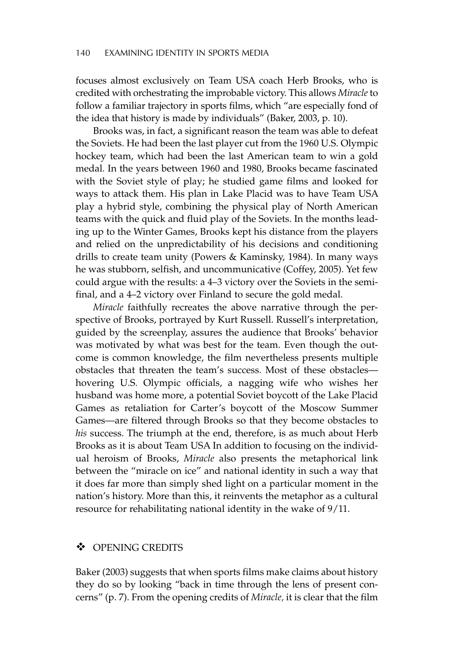focuses almost exclusively on Team USA coach Herb Brooks, who is credited with orchestrating the improbable victory. This allows *Miracle* to follow a familiar trajectory in sports films, which "are especially fond of the idea that history is made by individuals" (Baker, 2003, p. 10).

Brooks was, in fact, a significant reason the team was able to defeat the Soviets. He had been the last player cut from the 1960 U.S. Olympic hockey team, which had been the last American team to win a gold medal. In the years between 1960 and 1980, Brooks became fascinated with the Soviet style of play; he studied game films and looked for ways to attack them. His plan in Lake Placid was to have Team USA play a hybrid style, combining the physical play of North American teams with the quick and fluid play of the Soviets. In the months leading up to the Winter Games, Brooks kept his distance from the players and relied on the unpredictability of his decisions and conditioning drills to create team unity (Powers & Kaminsky, 1984). In many ways he was stubborn, selfish, and uncommunicative (Coffey, 2005). Yet few could argue with the results: a 4–3 victory over the Soviets in the semifinal, and a 4–2 victory over Finland to secure the gold medal.

*Miracle* faithfully recreates the above narrative through the perspective of Brooks, portrayed by Kurt Russell. Russell's interpretation, guided by the screenplay, assures the audience that Brooks' behavior was motivated by what was best for the team. Even though the outcome is common knowledge, the film nevertheless presents multiple obstacles that threaten the team's success. Most of these obstacles hovering U.S. Olympic officials, a nagging wife who wishes her husband was home more, a potential Soviet boycott of the Lake Placid Games as retaliation for Carter's boycott of the Moscow Summer Games—are filtered through Brooks so that they become obstacles to *his* success. The triumph at the end, therefore, is as much about Herb Brooks as it is about Team USA In addition to focusing on the individual heroism of Brooks, *Miracle* also presents the metaphorical link between the "miracle on ice" and national identity in such a way that it does far more than simply shed light on a particular moment in the nation's history. More than this, it reinvents the metaphor as a cultural resource for rehabilitating national identity in the wake of 9/11.

#### $\mathbf{A}$ OPENING CREDITS

Baker (2003) suggests that when sports films make claims about history they do so by looking "back in time through the lens of present concerns" (p. 7). From the opening credits of *Miracle,* it is clear that the film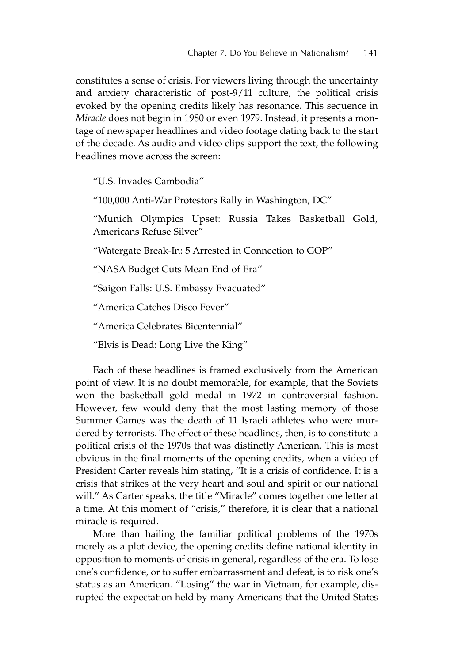constitutes a sense of crisis. For viewers living through the uncertainty and anxiety characteristic of post-9/11 culture, the political crisis evoked by the opening credits likely has resonance. This sequence in *Miracle* does not begin in 1980 or even 1979. Instead, it presents a montage of newspaper headlines and video footage dating back to the start of the decade. As audio and video clips support the text, the following headlines move across the screen:

"U.S. Invades Cambodia"

"100,000 Anti-War Protestors Rally in Washington, DC"

"Munich Olympics Upset: Russia Takes Basketball Gold, Americans Refuse Silver"

"Watergate Break-In: 5 Arrested in Connection to GOP"

"NASA Budget Cuts Mean End of Era"

"Saigon Falls: U.S. Embassy Evacuated"

"America Catches Disco Fever"

"America Celebrates Bicentennial"

"Elvis is Dead: Long Live the King"

Each of these headlines is framed exclusively from the American point of view. It is no doubt memorable, for example, that the Soviets won the basketball gold medal in 1972 in controversial fashion. However, few would deny that the most lasting memory of those Summer Games was the death of 11 Israeli athletes who were murdered by terrorists. The effect of these headlines, then, is to constitute a political crisis of the 1970s that was distinctly American. This is most obvious in the final moments of the opening credits, when a video of President Carter reveals him stating, "It is a crisis of confidence. It is a crisis that strikes at the very heart and soul and spirit of our national will." As Carter speaks, the title "Miracle" comes together one letter at a time. At this moment of "crisis," therefore, it is clear that a national miracle is required.

More than hailing the familiar political problems of the 1970s merely as a plot device, the opening credits define national identity in opposition to moments of crisis in general, regardless of the era. To lose one's confidence, or to suffer embarrassment and defeat, is to risk one's status as an American. "Losing" the war in Vietnam, for example, disrupted the expectation held by many Americans that the United States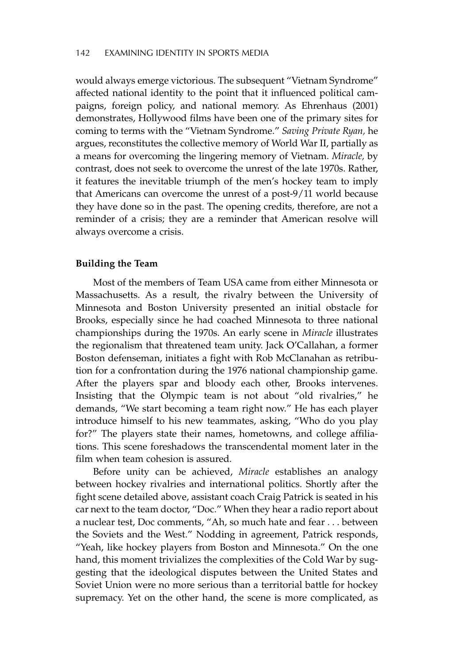would always emerge victorious. The subsequent "Vietnam Syndrome" affected national identity to the point that it influenced political campaigns, foreign policy, and national memory. As Ehrenhaus (2001) demonstrates, Hollywood films have been one of the primary sites for coming to terms with the "Vietnam Syndrome." *Saving Private Ryan,* he argues, reconstitutes the collective memory of World War II, partially as a means for overcoming the lingering memory of Vietnam. *Miracle,* by contrast, does not seek to overcome the unrest of the late 1970s. Rather, it features the inevitable triumph of the men's hockey team to imply that Americans can overcome the unrest of a post-9/11 world because they have done so in the past. The opening credits, therefore, are not a reminder of a crisis; they are a reminder that American resolve will always overcome a crisis.

## **Building the Team**

Most of the members of Team USA came from either Minnesota or Massachusetts. As a result, the rivalry between the University of Minnesota and Boston University presented an initial obstacle for Brooks, especially since he had coached Minnesota to three national championships during the 1970s. An early scene in *Miracle* illustrates the regionalism that threatened team unity. Jack O'Callahan, a former Boston defenseman, initiates a fight with Rob McClanahan as retribution for a confrontation during the 1976 national championship game. After the players spar and bloody each other, Brooks intervenes. Insisting that the Olympic team is not about "old rivalries," he demands, "We start becoming a team right now." He has each player introduce himself to his new teammates, asking, "Who do you play for?" The players state their names, hometowns, and college affiliations. This scene foreshadows the transcendental moment later in the film when team cohesion is assured.

Before unity can be achieved, *Miracle* establishes an analogy between hockey rivalries and international politics. Shortly after the fight scene detailed above, assistant coach Craig Patrick is seated in his car next to the team doctor, "Doc." When they hear a radio report about a nuclear test, Doc comments, "Ah, so much hate and fear ... between the Soviets and the West." Nodding in agreement, Patrick responds, "Yeah, like hockey players from Boston and Minnesota." On the one hand, this moment trivializes the complexities of the Cold War by suggesting that the ideological disputes between the United States and Soviet Union were no more serious than a territorial battle for hockey supremacy. Yet on the other hand, the scene is more complicated, as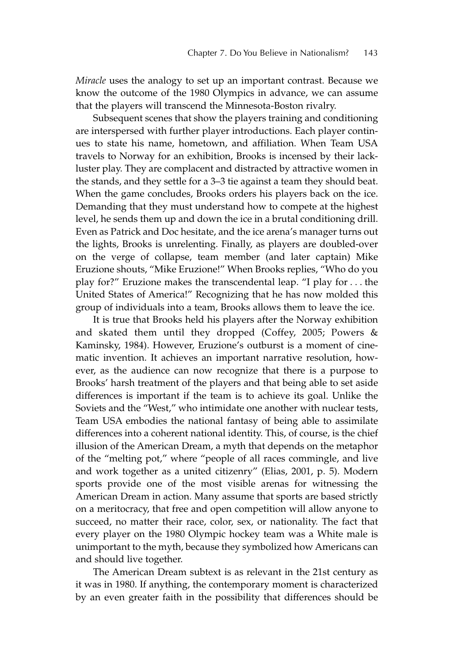*Miracle* uses the analogy to set up an important contrast. Because we know the outcome of the 1980 Olympics in advance, we can assume that the players will transcend the Minnesota-Boston rivalry.

Subsequent scenes that show the players training and conditioning are interspersed with further player introductions. Each player continues to state his name, hometown, and affiliation. When Team USA travels to Norway for an exhibition, Brooks is incensed by their lackluster play. They are complacent and distracted by attractive women in the stands, and they settle for a 3–3 tie against a team they should beat. When the game concludes, Brooks orders his players back on the ice. Demanding that they must understand how to compete at the highest level, he sends them up and down the ice in a brutal conditioning drill. Even as Patrick and Doc hesitate, and the ice arena's manager turns out the lights, Brooks is unrelenting. Finally, as players are doubled-over on the verge of collapse, team member (and later captain) Mike Eruzione shouts, "Mike Eruzione!" When Brooks replies, "Who do you play for?" Eruzione makes the transcendental leap. "I play for ... the United States of America!" Recognizing that he has now molded this group of individuals into a team, Brooks allows them to leave the ice.

It is true that Brooks held his players after the Norway exhibition and skated them until they dropped (Coffey, 2005; Powers & Kaminsky, 1984). However, Eruzione's outburst is a moment of cinematic invention. It achieves an important narrative resolution, however, as the audience can now recognize that there is a purpose to Brooks' harsh treatment of the players and that being able to set aside differences is important if the team is to achieve its goal. Unlike the Soviets and the "West," who intimidate one another with nuclear tests, Team USA embodies the national fantasy of being able to assimilate differences into a coherent national identity. This, of course, is the chief illusion of the American Dream, a myth that depends on the metaphor of the "melting pot," where "people of all races commingle, and live and work together as a united citizenry" (Elias, 2001, p. 5). Modern sports provide one of the most visible arenas for witnessing the American Dream in action. Many assume that sports are based strictly on a meritocracy, that free and open competition will allow anyone to succeed, no matter their race, color, sex, or nationality. The fact that every player on the 1980 Olympic hockey team was a White male is unimportant to the myth, because they symbolized how Americans can and should live together.

The American Dream subtext is as relevant in the 21st century as it was in 1980. If anything, the contemporary moment is characterized by an even greater faith in the possibility that differences should be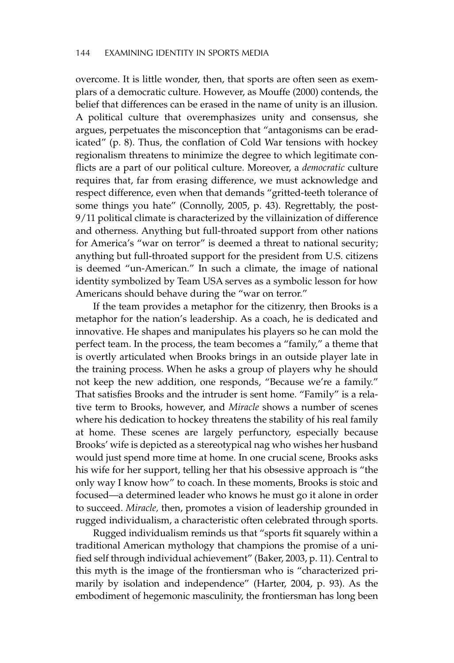overcome. It is little wonder, then, that sports are often seen as exemplars of a democratic culture. However, as Mouffe (2000) contends, the belief that differences can be erased in the name of unity is an illusion. A political culture that overemphasizes unity and consensus, she argues, perpetuates the misconception that "antagonisms can be eradicated" (p. 8). Thus, the conflation of Cold War tensions with hockey regionalism threatens to minimize the degree to which legitimate conflicts are a part of our political culture. Moreover, a *democratic* culture requires that, far from erasing difference, we must acknowledge and respect difference, even when that demands "gritted-teeth tolerance of some things you hate" (Connolly, 2005, p. 43). Regrettably, the post-9/11 political climate is characterized by the villainization of difference and otherness. Anything but full-throated support from other nations for America's "war on terror" is deemed a threat to national security; anything but full-throated support for the president from U.S. citizens is deemed "un-American." In such a climate, the image of national identity symbolized by Team USA serves as a symbolic lesson for how Americans should behave during the "war on terror."

If the team provides a metaphor for the citizenry, then Brooks is a metaphor for the nation's leadership. As a coach, he is dedicated and innovative. He shapes and manipulates his players so he can mold the perfect team. In the process, the team becomes a "family," a theme that is overtly articulated when Brooks brings in an outside player late in the training process. When he asks a group of players why he should not keep the new addition, one responds, "Because we're a family." That satisfies Brooks and the intruder is sent home. "Family" is a relative term to Brooks, however, and *Miracle* shows a number of scenes where his dedication to hockey threatens the stability of his real family at home. These scenes are largely perfunctory, especially because Brooks' wife is depicted as a stereotypical nag who wishes her husband would just spend more time at home. In one crucial scene, Brooks asks his wife for her support, telling her that his obsessive approach is "the only way I know how" to coach. In these moments, Brooks is stoic and focused—a determined leader who knows he must go it alone in order to succeed. *Miracle,* then, promotes a vision of leadership grounded in rugged individualism, a characteristic often celebrated through sports.

Rugged individualism reminds us that "sports fit squarely within a traditional American mythology that champions the promise of a unified self through individual achievement" (Baker, 2003, p. 11). Central to this myth is the image of the frontiersman who is "characterized primarily by isolation and independence" (Harter, 2004, p. 93). As the embodiment of hegemonic masculinity, the frontiersman has long been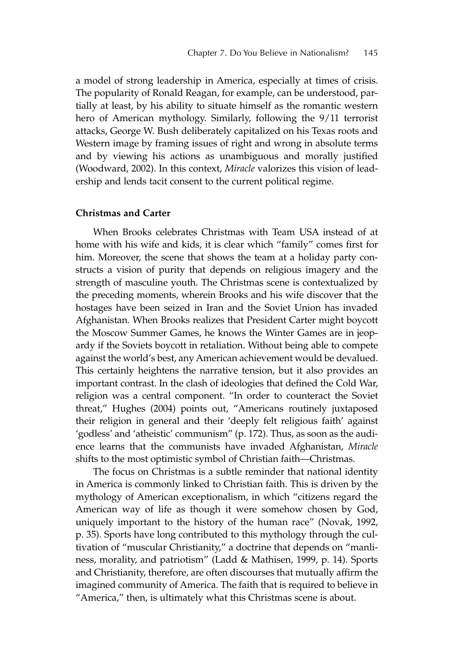a model of strong leadership in America, especially at times of crisis. The popularity of Ronald Reagan, for example, can be understood, partially at least, by his ability to situate himself as the romantic western hero of American mythology. Similarly, following the 9/11 terrorist attacks, George W. Bush deliberately capitalized on his Texas roots and Western image by framing issues of right and wrong in absolute terms and by viewing his actions as unambiguous and morally justified (Woodward, 2002). In this context, *Miracle* valorizes this vision of leadership and lends tacit consent to the current political regime.

## **Christmas and Carter**

When Brooks celebrates Christmas with Team USA instead of at home with his wife and kids, it is clear which "family" comes first for him. Moreover, the scene that shows the team at a holiday party constructs a vision of purity that depends on religious imagery and the strength of masculine youth. The Christmas scene is contextualized by the preceding moments, wherein Brooks and his wife discover that the hostages have been seized in Iran and the Soviet Union has invaded Afghanistan. When Brooks realizes that President Carter might boycott the Moscow Summer Games, he knows the Winter Games are in jeopardy if the Soviets boycott in retaliation. Without being able to compete against the world's best, any American achievement would be devalued. This certainly heightens the narrative tension, but it also provides an important contrast. In the clash of ideologies that defined the Cold War, religion was a central component. "In order to counteract the Soviet threat," Hughes (2004) points out, "Americans routinely juxtaposed their religion in general and their 'deeply felt religious faith' against 'godless' and 'atheistic' communism" (p. 172). Thus, as soon as the audience learns that the communists have invaded Afghanistan, *Miracle* shifts to the most optimistic symbol of Christian faith—Christmas.

The focus on Christmas is a subtle reminder that national identity in America is commonly linked to Christian faith. This is driven by the mythology of American exceptionalism, in which "citizens regard the American way of life as though it were somehow chosen by God, uniquely important to the history of the human race" (Novak, 1992, p. 35). Sports have long contributed to this mythology through the cultivation of "muscular Christianity," a doctrine that depends on "manliness, morality, and patriotism" (Ladd & Mathisen, 1999, p. 14). Sports and Christianity, therefore, are often discourses that mutually affirm the imagined community of America. The faith that is required to believe in "America," then, is ultimately what this Christmas scene is about.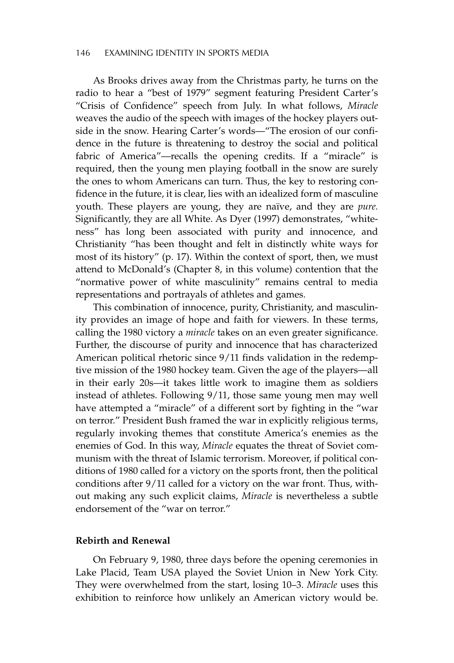#### 146 EXAMINING IDENTITY IN SPORTS MEDIA

As Brooks drives away from the Christmas party, he turns on the radio to hear a "best of 1979" segment featuring President Carter's "Crisis of Confidence" speech from July. In what follows, *Miracle* weaves the audio of the speech with images of the hockey players outside in the snow. Hearing Carter's words—"The erosion of our confidence in the future is threatening to destroy the social and political fabric of America"—recalls the opening credits. If a "miracle" is required, then the young men playing football in the snow are surely the ones to whom Americans can turn. Thus, the key to restoring confidence in the future, it is clear, lies with an idealized form of masculine youth. These players are young, they are naïve, and they are *pure.* Significantly, they are all White. As Dyer (1997) demonstrates, "whiteness" has long been associated with purity and innocence, and Christianity "has been thought and felt in distinctly white ways for most of its history" (p. 17). Within the context of sport, then, we must attend to McDonald's (Chapter 8, in this volume) contention that the "normative power of white masculinity" remains central to media representations and portrayals of athletes and games.

This combination of innocence, purity, Christianity, and masculinity provides an image of hope and faith for viewers. In these terms, calling the 1980 victory a *miracle* takes on an even greater significance. Further, the discourse of purity and innocence that has characterized American political rhetoric since 9/11 finds validation in the redemptive mission of the 1980 hockey team. Given the age of the players—all in their early 20s—it takes little work to imagine them as soldiers instead of athletes. Following 9/11, those same young men may well have attempted a "miracle" of a different sort by fighting in the "war on terror." President Bush framed the war in explicitly religious terms, regularly invoking themes that constitute America's enemies as the enemies of God. In this way, *Miracle* equates the threat of Soviet communism with the threat of Islamic terrorism. Moreover, if political conditions of 1980 called for a victory on the sports front, then the political conditions after 9/11 called for a victory on the war front. Thus, without making any such explicit claims, *Miracle* is nevertheless a subtle endorsement of the "war on terror."

### **Rebirth and Renewal**

On February 9, 1980, three days before the opening ceremonies in Lake Placid, Team USA played the Soviet Union in New York City. They were overwhelmed from the start, losing 10–3. *Miracle* uses this exhibition to reinforce how unlikely an American victory would be.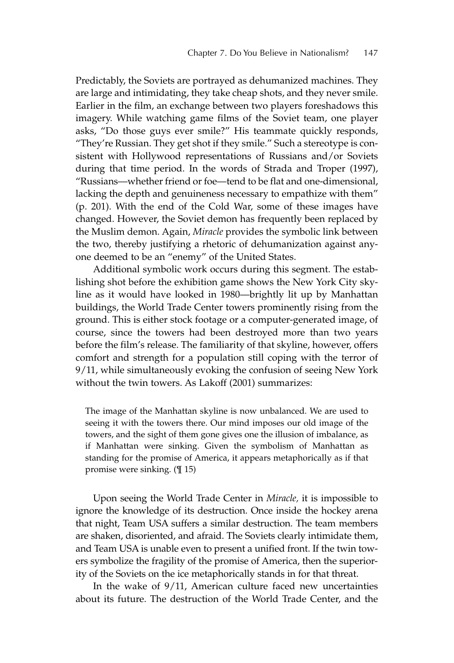Predictably, the Soviets are portrayed as dehumanized machines. They are large and intimidating, they take cheap shots, and they never smile. Earlier in the film, an exchange between two players foreshadows this imagery. While watching game films of the Soviet team, one player asks, "Do those guys ever smile?" His teammate quickly responds, "They're Russian. They get shot if they smile." Such a stereotype is consistent with Hollywood representations of Russians and/or Soviets during that time period. In the words of Strada and Troper (1997), "Russians—whether friend or foe—tend to be flat and one-dimensional, lacking the depth and genuineness necessary to empathize with them" (p. 201). With the end of the Cold War, some of these images have changed. However, the Soviet demon has frequently been replaced by the Muslim demon. Again, *Miracle* provides the symbolic link between the two, thereby justifying a rhetoric of dehumanization against anyone deemed to be an "enemy" of the United States.

Additional symbolic work occurs during this segment. The establishing shot before the exhibition game shows the New York City skyline as it would have looked in 1980—brightly lit up by Manhattan buildings, the World Trade Center towers prominently rising from the ground. This is either stock footage or a computer-generated image, of course, since the towers had been destroyed more than two years before the film's release. The familiarity of that skyline, however, offers comfort and strength for a population still coping with the terror of 9/11, while simultaneously evoking the confusion of seeing New York without the twin towers. As Lakoff (2001) summarizes:

The image of the Manhattan skyline is now unbalanced. We are used to seeing it with the towers there. Our mind imposes our old image of the towers, and the sight of them gone gives one the illusion of imbalance, as if Manhattan were sinking. Given the symbolism of Manhattan as standing for the promise of America, it appears metaphorically as if that promise were sinking. (¶ 15)

Upon seeing the World Trade Center in *Miracle,* it is impossible to ignore the knowledge of its destruction. Once inside the hockey arena that night, Team USA suffers a similar destruction. The team members are shaken, disoriented, and afraid. The Soviets clearly intimidate them, and Team USA is unable even to present a unified front. If the twin towers symbolize the fragility of the promise of America, then the superiority of the Soviets on the ice metaphorically stands in for that threat.

In the wake of 9/11, American culture faced new uncertainties about its future. The destruction of the World Trade Center, and the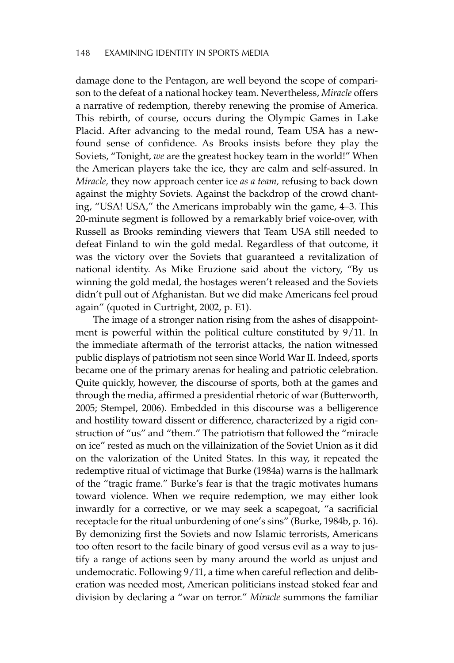damage done to the Pentagon, are well beyond the scope of comparison to the defeat of a national hockey team. Nevertheless, *Miracle* offers a narrative of redemption, thereby renewing the promise of America. This rebirth, of course, occurs during the Olympic Games in Lake Placid. After advancing to the medal round, Team USA has a newfound sense of confidence. As Brooks insists before they play the Soviets, "Tonight, *we* are the greatest hockey team in the world!" When the American players take the ice, they are calm and self-assured. In *Miracle,* they now approach center ice *as a team,* refusing to back down against the mighty Soviets. Against the backdrop of the crowd chanting, "USA! USA," the Americans improbably win the game, 4–3. This 20-minute segment is followed by a remarkably brief voice-over, with Russell as Brooks reminding viewers that Team USA still needed to defeat Finland to win the gold medal. Regardless of that outcome, it was the victory over the Soviets that guaranteed a revitalization of national identity. As Mike Eruzione said about the victory, "By us winning the gold medal, the hostages weren't released and the Soviets didn't pull out of Afghanistan. But we did make Americans feel proud again" (quoted in Curtright, 2002, p. E1).

The image of a stronger nation rising from the ashes of disappointment is powerful within the political culture constituted by 9/11. In the immediate aftermath of the terrorist attacks, the nation witnessed public displays of patriotism not seen since World War II. Indeed, sports became one of the primary arenas for healing and patriotic celebration. Quite quickly, however, the discourse of sports, both at the games and through the media, affirmed a presidential rhetoric of war (Butterworth, 2005; Stempel, 2006). Embedded in this discourse was a belligerence and hostility toward dissent or difference, characterized by a rigid construction of "us" and "them." The patriotism that followed the "miracle on ice" rested as much on the villainization of the Soviet Union as it did on the valorization of the United States. In this way, it repeated the redemptive ritual of victimage that Burke (1984a) warns is the hallmark of the "tragic frame." Burke's fear is that the tragic motivates humans toward violence. When we require redemption, we may either look inwardly for a corrective, or we may seek a scapegoat, "a sacrificial receptacle for the ritual unburdening of one's sins" (Burke, 1984b, p. 16). By demonizing first the Soviets and now Islamic terrorists, Americans too often resort to the facile binary of good versus evil as a way to justify a range of actions seen by many around the world as unjust and undemocratic. Following 9/11, a time when careful reflection and deliberation was needed most, American politicians instead stoked fear and division by declaring a "war on terror." *Miracle* summons the familiar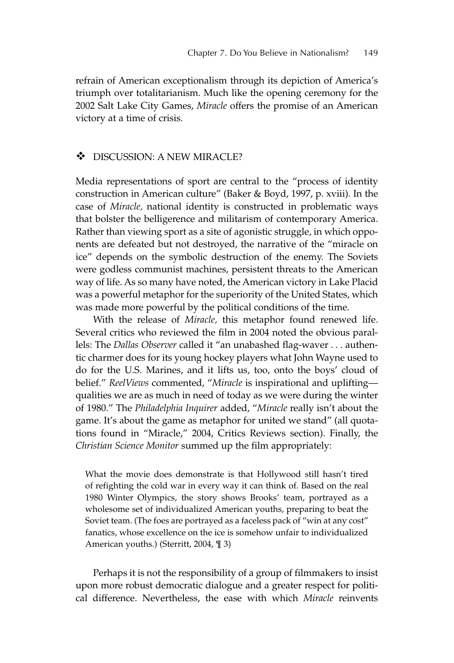refrain of American exceptionalism through its depiction of America's triumph over totalitarianism. Much like the opening ceremony for the 2002 Salt Lake City Games, *Miracle* offers the promise of an American victory at a time of crisis.

#### $\cdot$ DISCUSSION: A NEW MIRACLE?

Media representations of sport are central to the "process of identity construction in American culture" (Baker & Boyd, 1997, p. xviii). In the case of *Miracle,* national identity is constructed in problematic ways that bolster the belligerence and militarism of contemporary America. Rather than viewing sport as a site of agonistic struggle, in which opponents are defeated but not destroyed, the narrative of the "miracle on ice" depends on the symbolic destruction of the enemy. The Soviets were godless communist machines, persistent threats to the American way of life. As so many have noted, the American victory in Lake Placid was a powerful metaphor for the superiority of the United States, which was made more powerful by the political conditions of the time.

With the release of *Miracle,* this metaphor found renewed life. Several critics who reviewed the film in 2004 noted the obvious parallels: The *Dallas Observer* called it "an unabashed flag-waver . . . authentic charmer does for its young hockey players what John Wayne used to do for the U.S. Marines, and it lifts us, too, onto the boys' cloud of belief." *ReelViews* commented, "*Miracle* is inspirational and uplifting qualities we are as much in need of today as we were during the winter of 1980." The *Philadelphia Inquirer* added, "*Miracle* really isn't about the game. It's about the game as metaphor for united we stand" (all quotations found in "Miracle," 2004, Critics Reviews section). Finally, the *Christian Science Monitor* summed up the film appropriately:

What the movie does demonstrate is that Hollywood still hasn't tired of refighting the cold war in every way it can think of. Based on the real 1980 Winter Olympics, the story shows Brooks' team, portrayed as a wholesome set of individualized American youths, preparing to beat the Soviet team. (The foes are portrayed as a faceless pack of "win at any cost" fanatics, whose excellence on the ice is somehow unfair to individualized American youths.) (Sterritt, 2004, ¶ 3)

Perhaps it is not the responsibility of a group of filmmakers to insist upon more robust democratic dialogue and a greater respect for political difference. Nevertheless, the ease with which *Miracle* reinvents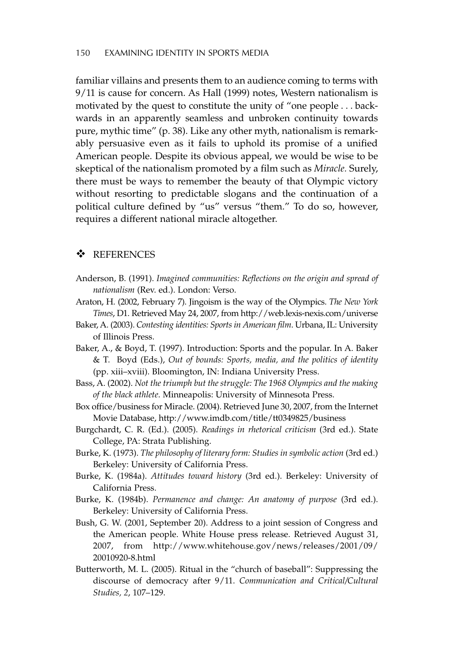familiar villains and presents them to an audience coming to terms with 9/11 is cause for concern. As Hall (1999) notes, Western nationalism is motivated by the quest to constitute the unity of "one people ... backwards in an apparently seamless and unbroken continuity towards pure, mythic time" (p. 38). Like any other myth, nationalism is remarkably persuasive even as it fails to uphold its promise of a unified American people. Despite its obvious appeal, we would be wise to be skeptical of the nationalism promoted by a film such as *Miracle.* Surely, there must be ways to remember the beauty of that Olympic victory without resorting to predictable slogans and the continuation of a political culture defined by "us" versus "them." To do so, however, requires a different national miracle altogether.

# - REFERENCES

- Anderson, B. (1991). *Imagined communities: Reflections on the origin and spread of nationalism* (Rev. ed.). London: Verso.
- Araton, H. (2002, February 7). Jingoism is the way of the Olympics. *The New York Times*, D1. Retrieved May 24, 2007, from http://web.lexis-nexis.com/universe
- Baker, A. (2003). *Contesting identities: Sports in American film*. Urbana, IL: University of Illinois Press.
- Baker, A., & Boyd, T. (1997). Introduction: Sports and the popular. In A. Baker & T. Boyd (Eds.), *Out of bounds: Sports, media, and the politics of identity* (pp. xiii–xviii). Bloomington, IN: Indiana University Press.
- Bass, A. (2002). *Not the triumph but the struggle: The 1968 Olympics and the making of the black athlete*. Minneapolis: University of Minnesota Press.
- Box office/business for Miracle. (2004). Retrieved June 30, 2007, from the Internet Movie Database, http://www.imdb.com/title/tt0349825/business
- Burgchardt, C. R. (Ed.). (2005). *Readings in rhetorical criticism* (3rd ed.). State College, PA: Strata Publishing.
- Burke, K. (1973). *The philosophy of literary form: Studies in symbolic action* (3rd ed.) Berkeley: University of California Press.
- Burke, K. (1984a). *Attitudes toward history* (3rd ed.). Berkeley: University of California Press.
- Burke, K. (1984b). *Permanence and change: An anatomy of purpose* (3rd ed.). Berkeley: University of California Press.
- Bush, G. W. (2001, September 20). Address to a joint session of Congress and the American people. White House press release. Retrieved August 31, 2007, from http://www.whitehouse.gov/news/releases/2001/09/ 20010920-8.html
- Butterworth, M. L. (2005). Ritual in the "church of baseball": Suppressing the discourse of democracy after 9/11. *Communication and Critical/Cultural Studies, 2*, 107–129.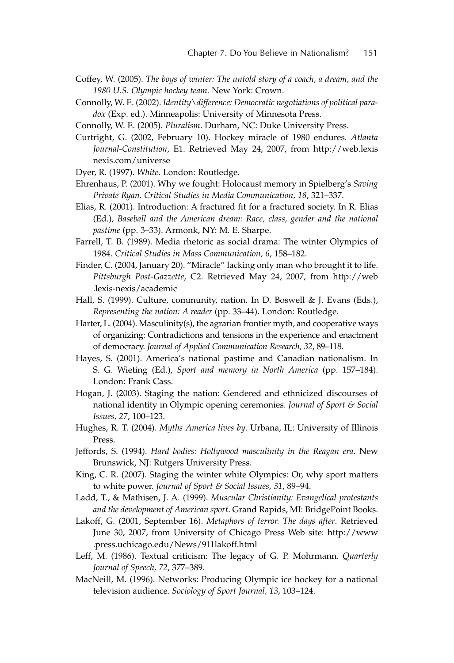- Coffey, W. (2005). *The boys of winter: The untold story of a coach, a dream, and the 1980 U.S. Olympic hockey team*. New York: Crown.
- Connolly, W. E. (2002). *Identity\difference: Democratic negotiations of political paradox* (Exp. ed.). Minneapolis: University of Minnesota Press.
- Connolly, W. E. (2005). *Pluralism*. Durham, NC: Duke University Press.
- Curtright, G. (2002, February 10). Hockey miracle of 1980 endures. *Atlanta Journal-Constitution*, E1. Retrieved May 24, 2007, from http://web.lexis nexis.com/universe
- Dyer, R. (1997). *White*. London: Routledge.
- Ehrenhaus, P. (2001). Why we fought: Holocaust memory in Spielberg's *Saving Private Ryan. Critical Studies in Media Communication, 18*, 321–337.
- Elias, R. (2001). Introduction: A fractured fit for a fractured society. In R. Elias (Ed.), *Baseball and the American dream: Race, class, gender and the national pastime* (pp. 3–33). Armonk, NY: M. E. Sharpe.
- Farrell, T. B. (1989). Media rhetoric as social drama: The winter Olympics of 1984. *Critical Studies in Mass Communication, 6*, 158–182.
- Finder, C. (2004, January 20). "Miracle" lacking only man who brought it to life. *Pittsburgh Post-Gazzette*, C2. Retrieved May 24, 2007, from http://web .lexis-nexis/academic
- Hall, S. (1999). Culture, community, nation. In D. Boswell & J. Evans (Eds.), *Representing the nation: A reader* (pp. 33–44). London: Routledge.
- Harter, L. (2004). Masculinity(s), the agrarian frontier myth, and cooperative ways of organizing: Contradictions and tensions in the experience and enactment of democracy. *Journal of Applied Communication Research, 32*, 89–118.
- Hayes, S. (2001). America's national pastime and Canadian nationalism. In S. G. Wieting (Ed.), *Sport and memory in North America* (pp. 157–184). London: Frank Cass.
- Hogan, J. (2003). Staging the nation: Gendered and ethnicized discourses of national identity in Olympic opening ceremonies. *Journal of Sport & Social Issues, 27*, 100–123.
- Hughes, R. T. (2004). *Myths America lives by*. Urbana, IL: University of Illinois Press.
- Jeffords, S. (1994). *Hard bodies: Hollywood masculinity in the Reagan era*. New Brunswick, NJ: Rutgers University Press.
- King, C. R. (2007). Staging the winter white Olympics: Or, why sport matters to white power. *Journal of Sport & Social Issues, 31*, 89–94.
- Ladd, T., & Mathisen, J. A. (1999). *Muscular Christianity: Evangelical protestants and the development of American sport*. Grand Rapids, MI: BridgePoint Books.
- Lakoff, G. (2001, September 16). *Metaphors of terror. The days after*. Retrieved June 30, 2007, from University of Chicago Press Web site: http://www .press.uchicago.edu/News/911lakoff.html
- Leff, M. (1986). Textual criticism: The legacy of G. P. Mohrmann. *Quarterly Journal of Speech, 72*, 377–389.
- MacNeill, M. (1996). Networks: Producing Olympic ice hockey for a national television audience. *Sociology of Sport Journal, 13*, 103–124.